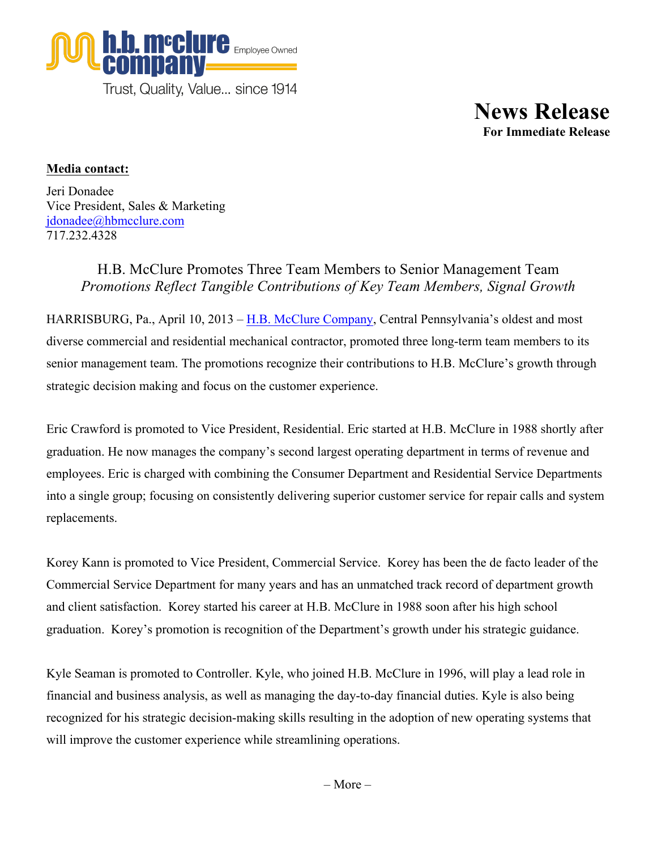

**News Release For Immediate Release**

## **Media contact:**

Jeri Donadee Vice President, Sales & Marketing jdonadee@hbmcclure.com 717.232.4328

## H.B. McClure Promotes Three Team Members to Senior Management Team *Promotions Reflect Tangible Contributions of Key Team Members, Signal Growth*

HARRISBURG, Pa., April 10, 2013 – H.B. McClure Company, Central Pennsylvania's oldest and most diverse commercial and residential mechanical contractor, promoted three long-term team members to its senior management team. The promotions recognize their contributions to H.B. McClure's growth through strategic decision making and focus on the customer experience.

Eric Crawford is promoted to Vice President, Residential. Eric started at H.B. McClure in 1988 shortly after graduation. He now manages the company's second largest operating department in terms of revenue and employees. Eric is charged with combining the Consumer Department and Residential Service Departments into a single group; focusing on consistently delivering superior customer service for repair calls and system replacements.

Korey Kann is promoted to Vice President, Commercial Service. Korey has been the de facto leader of the Commercial Service Department for many years and has an unmatched track record of department growth and client satisfaction. Korey started his career at H.B. McClure in 1988 soon after his high school graduation. Korey's promotion is recognition of the Department's growth under his strategic guidance.

Kyle Seaman is promoted to Controller. Kyle, who joined H.B. McClure in 1996, will play a lead role in financial and business analysis, as well as managing the day-to-day financial duties. Kyle is also being recognized for his strategic decision-making skills resulting in the adoption of new operating systems that will improve the customer experience while streamlining operations.